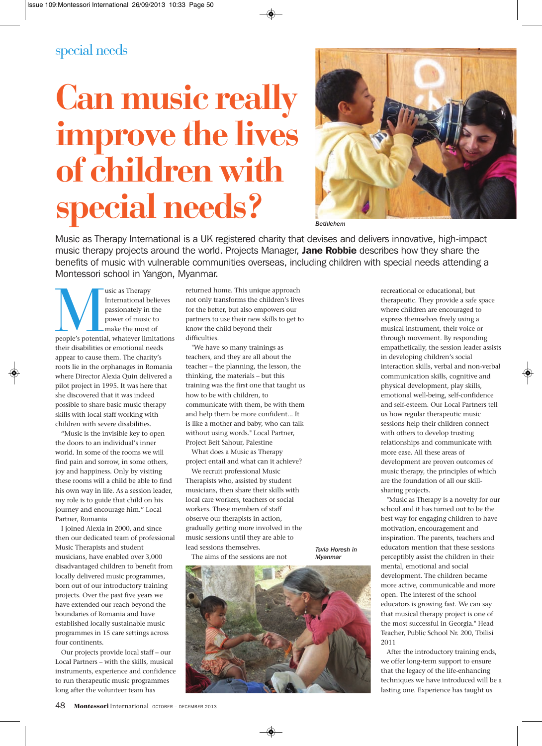## special needs

## **Can music really improve the lives of children with special needs?**



*Bethlehem*

Music as Therapy International is a UK registered charity that devises and delivers innovative, high-impact music therapy projects around the world. Projects Manager, Jane Robbie describes how they share the benefits of music with vulnerable communities overseas, including children with special needs attending a Montessori school in Yangon, Myanmar.

**people's**<br> **people's**<br> **people's**<br> **people's**<br> **people's**<br> **people's**<br> **people's**<br> **people's**<br> **people's**<br> **people's**<br> **people's**<br> **people's**<br> **people's**<br> **peopleiries**<br> **people**<br> **people**<br> **people**<br> **people**<br> **people**<br> International believes passionately in the power of music to make the most of their disabilities or emotional needs appear to cause them. The charity's roots lie in the orphanages in Romania where Director Alexia Quin delivered a pilot project in 1995. It was here that she discovered that it was indeed possible to share basic music therapy skills with local staff working with children with severe disabilities.

"Music is the invisible key to open the doors to an individual's inner world. In some of the rooms we will find pain and sorrow, in some others, joy and happiness. Only by visiting these rooms will a child be able to find his own way in life. As a session leader, my role is to guide that child on his journey and encourage him." Local Partner, Romania

I joined Alexia in 2000, and since then our dedicated team of professional Music Therapists and student musicians, have enabled over 3,000 disadvantaged children to benefit from locally delivered music programmes, born out of our introductory training projects. Over the past five years we have extended our reach beyond the boundaries of Romania and have established locally sustainable music programmes in 15 care settings across four continents.

Our projects provide local staff – our Local Partners – with the skills, musical instruments, experience and confidence to run therapeutic music programmes long after the volunteer team has

returned home. This unique approach not only transforms the children's lives for the better, but also empowers our partners to use their new skills to get to know the child beyond their difficulties.

"We have so many trainings as teachers, and they are all about the teacher – the planning, the lesson, the thinking, the materials – but this training was the first one that taught us how to be with children, to communicate with them, be with them and help them be more confident... It is like a mother and baby, who can talk without using words." Local Partner, Project Beit Sahour, Palestine

What does a Music as Therapy project entail and what can it achieve? We recruit professional Music Therapists who, assisted by student musicians, then share their skills with local care workers, teachers or social workers. These members of staff observe our therapists in action, gradually getting more involved in the music sessions until they are able to lead sessions themselves.

The aims of the sessions are not

*Tsvia Horesh in Myanmar*



recreational or educational, but therapeutic. They provide a safe space where children are encouraged to express themselves freely using a musical instrument, their voice or through movement. By responding empathetically, the session leader assists in developing children's social interaction skills, verbal and non-verbal communication skills, cognitive and physical development, play skills, emotional well-being, self-confidence and self-esteem. Our Local Partners tell us how regular therapeutic music sessions help their children connect with others to develop trusting relationships and communicate with more ease. All these areas of development are proven outcomes of music therapy, the principles of which are the foundation of all our skillsharing projects.

"Music as Therapy is a novelty for our school and it has turned out to be the best way for engaging children to have motivation, encouragement and inspiration. The parents, teachers and educators mention that these sessions perceptibly assist the children in their mental, emotional and social development. The children became more active, communicable and more open. The interest of the school educators is growing fast. We can say that musical therapy project is one of the most successful in Georgia." Head Teacher, Public School Nr. 200, Tbilisi 2011

After the introductory training ends, we offer long-term support to ensure that the legacy of the life-enhancing techniques we have introduced will be a lasting one. Experience has taught us